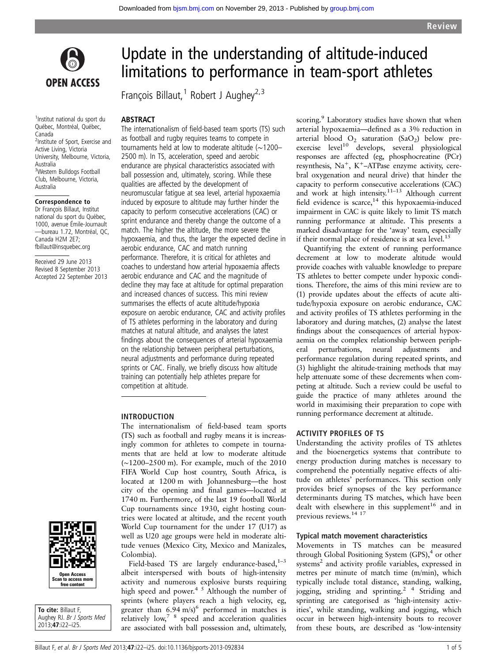

1 Institut national du sport du Québec, Montréal, Québec, Canada <sup>2</sup>Institute of Sport, Exercise and Active Living, Victoria University, Melbourne, Victoria, Australia <sup>3</sup>Western Bulldogs Football Club, Melbourne, Victoria, Australia

# Correspondence to

Dr François Billaut, Institut national du sport du Québec, 1000, avenue Émile-Journault —bureau 1.72, Montréal, QC, Canada H2M 2E7; fbillaut@insquebec.org

Received 29 June 2013 Revised 8 September 2013 Accepted 22 September 2013

# Update in the understanding of altitude-induced limitations to performance in team-sport athletes

François Billaut,<sup>1</sup> Robert J Aughey<sup>2,3</sup>

### **ABSTRACT**

The internationalism of field-based team sports (TS) such as football and rugby requires teams to compete in tournaments held at low to moderate altitude (∼1200– 2500 m). In TS, acceleration, speed and aerobic endurance are physical characteristics associated with ball possession and, ultimately, scoring. While these qualities are affected by the development of neuromuscular fatigue at sea level, arterial hypoxaemia induced by exposure to altitude may further hinder the capacity to perform consecutive accelerations (CAC) or sprint endurance and thereby change the outcome of a match. The higher the altitude, the more severe the hypoxaemia, and thus, the larger the expected decline in aerobic endurance, CAC and match running performance. Therefore, it is critical for athletes and coaches to understand how arterial hypoxaemia affects aerobic endurance and CAC and the magnitude of decline they may face at altitude for optimal preparation and increased chances of success. This mini review summarises the effects of acute altitude/hypoxia exposure on aerobic endurance, CAC and activity profiles of TS athletes performing in the laboratory and during matches at natural altitude, and analyses the latest findings about the consequences of arterial hypoxaemia on the relationship between peripheral perturbations, neural adjustments and performance during repeated sprints or CAC. Finally, we briefly discuss how altitude training can potentially help athletes prepare for competition at altitude.

#### INTRODUCTION

The internationalism of field-based team sports (TS) such as football and rugby means it is increasingly common for athletes to compete in tournaments that are held at low to moderate altitude (∼1200–2500 m). For example, much of the 2010 FIFA World Cup host country, South Africa, is located at 1200 m with Johannesburg—the host city of the opening and final games—located at 1740 m. Furthermore, of the last 19 football World Cup tournaments since 1930, eight hosting countries were located at altitude, and the recent youth World Cup tournament for the under 17 (U17) as well as U20 age groups were held in moderate altitude venues (Mexico City, Mexico and Manizales, Colombia).

Field-based TS are largely endurance-based, $1-3$ albeit interspersed with bouts of high-intensity activity and numerous explosive bursts requiring high speed and power.<sup>4 5</sup> Although the number of sprints (where players reach a high velocity, eg, greater than  $6.94 \text{ m/s}$ <sup>6</sup> performed in matches is relatively  $low<sub>7</sub>$ <sup>7</sup> speed and acceleration qualities are associated with ball possession and, ultimately,

scoring.<sup>9</sup> Laboratory studies have shown that when arterial hypoxaemia—defined as a 3% reduction in arterial blood  $O_2$  saturation (SaO<sub>2</sub>) below preexercise  $level^{10}$  develops, several physiological responses are affected (eg, phosphocreatine (PCr) resynthesis,  $Na<sup>+</sup>, K<sup>+</sup>-ATPase$  enzyme activity, cerebral oxygenation and neural drive) that hinder the capacity to perform consecutive accelerations (CAC) and work at high intensity.<sup>11–13</sup> Although current field evidence is scarce,<sup>14</sup> this hypoxaemia-induced impairment in CAC is quite likely to limit TS match running performance at altitude. This presents a marked disadvantage for the 'away' team, especially if their normal place of residence is at sea level.<sup>15</sup>

Quantifying the extent of running performance decrement at low to moderate altitude would provide coaches with valuable knowledge to prepare TS athletes to better compete under hypoxic conditions. Therefore, the aims of this mini review are to (1) provide updates about the effects of acute altitude/hypoxia exposure on aerobic endurance, CAC and activity profiles of TS athletes performing in the laboratory and during matches, (2) analyse the latest findings about the consequences of arterial hypoxaemia on the complex relationship between peripheral perturbations, neural adjustments and performance regulation during repeated sprints, and (3) highlight the altitude-training methods that may help attenuate some of these decrements when competing at altitude. Such a review could be useful to guide the practice of many athletes around the world in maximising their preparation to cope with running performance decrement at altitude.

# ACTIVITY PROFILES OF TS

Understanding the activity profiles of TS athletes and the bioenergetics systems that contribute to energy production during matches is necessary to comprehend the potentially negative effects of altitude on athletes' performances. This section only provides brief synopses of the key performance determinants during TS matches, which have been dealt with elsewhere in this supplement<sup>16</sup> and in previous reviews.14 17

#### Typical match movement characteristics

Movements in TS matches can be measured through Global Positioning System  $(GPS)$ ,<sup>4</sup> or other systems<sup>2</sup> and activity profile variables, expressed in metres per minute of match time (m/min), which typically include total distance, standing, walking, jogging, striding and sprinting.2 4 Striding and sprinting are categorised as 'high-intensity activities', while standing, walking and jogging, which occur in between high-intensity bouts to recover from these bouts, are described as 'low-intensity



To cite: Billaut F, Aughey RJ. Br J Sports Med 2013;47:i22–i25.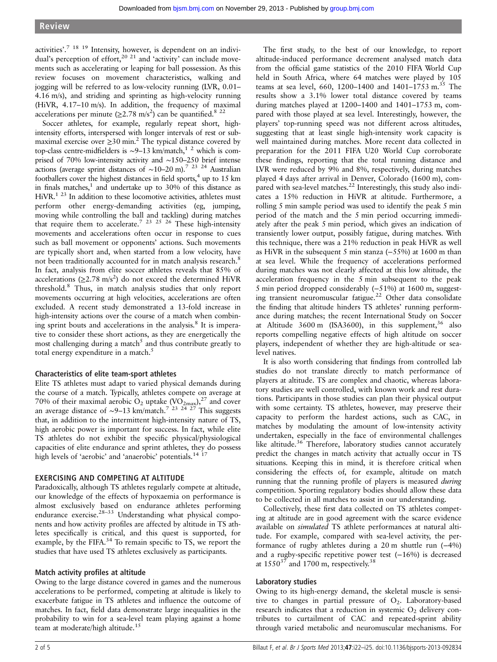activities'.<sup>7</sup> <sup>18</sup> <sup>19</sup> Intensity, however, is dependent on an individual's perception of effort,<sup>20 21</sup> and 'activity' can include movements such as accelerating or leaping for ball possession. As this review focuses on movement characteristics, walking and jogging will be referred to as low-velocity running (LVR, 0.01– 4.16 m/s), and striding and sprinting as high-velocity running (HiVR, 4.17–10 m/s). In addition, the frequency of maximal accelerations per minute ( $\geq$ 2.78 m/s<sup>2</sup>) can be quantified.<sup>8 22</sup>

Soccer athletes, for example, regularly repeat short, highintensity efforts, interspersed with longer intervals of rest or submaximal exercise over  $\geq$ 30 min.<sup>2</sup> The typical distance covered by top-class centre-midfielders is ~9–13 km/match,<sup>1</sup> <sup>2</sup> which is comprised of 70% low-intensity activity and ∼150–250 brief intense actions (average sprint distances of ~10–20 m).<sup>7 23</sup> <sup>24</sup> Australian footballers cover the highest distances in field sports,<sup>4</sup> up to 15 km in finals matches, $<sup>1</sup>$  and undertake up to 30% of this distance as</sup> HiVR.<sup>1 23</sup> In addition to these locomotive activities, athletes must perform other energy-demanding activities (eg, jumping, moving while controlling the ball and tackling) during matches that require them to accelerate.<sup>7</sup> <sup>23</sup> <sup>25</sup> <sup>26</sup> These high-intensity movements and accelerations often occur in response to cues such as ball movement or opponents' actions. Such movements are typically short and, when started from a low velocity, have not been traditionally accounted for in match analysis research.<sup>8</sup> In fact, analysis from elite soccer athletes reveals that 85% of accelerations ( $\geq$ 2.78 m/s<sup>2</sup>) do not exceed the determined HiVR threshold.<sup>8</sup> Thus, in match analysis studies that only report movements occurring at high velocities, accelerations are often excluded. A recent study demonstrated a 13-fold increase in high-intensity actions over the course of a match when combining sprint bouts and accelerations in the analysis.<sup>8</sup> It is imperative to consider these short actions, as they are energetically the most challenging during a match<sup>5</sup> and thus contribute greatly to total energy expenditure in a match.<sup>5</sup>

# Characteristics of elite team-sport athletes

Elite TS athletes must adapt to varied physical demands during the course of a match. Typically, athletes compete on average at 70% of their maximal aerobic O<sub>2</sub> uptake  $(\rm{VO}_{2max})$ ,<sup>27</sup> and cover an average distance of ∼9–13 km/match.<sup>7</sup><sup>23</sup> <sup>24</sup> <sup>27</sup> This suggests that, in addition to the intermittent high-intensity nature of TS, high aerobic power is important for success. In fact, while elite TS athletes do not exhibit the specific physical/physiological capacities of elite endurance and sprint athletes, they do possess high levels of 'aerobic' and 'anaerobic' potentials.<sup>14</sup> <sup>1</sup>

# EXERCISING AND COMPETING AT ALTITUDE

Paradoxically, although TS athletes regularly compete at altitude, our knowledge of the effects of hypoxaemia on performance is almost exclusively based on endurance athletes performing endurance exercise.<sup>28-33</sup> Understanding what physical components and how activity profiles are affected by altitude in TS athletes specifically is critical, and this quest is supported, for example, by the FIFA.<sup>34</sup> To remain specific to TS, we report the studies that have used TS athletes exclusively as participants.

# Match activity profiles at altitude

Owing to the large distance covered in games and the numerous accelerations to be performed, competing at altitude is likely to exacerbate fatigue in TS athletes and influence the outcome of matches. In fact, field data demonstrate large inequalities in the probability to win for a sea-level team playing against a home team at moderate/high altitude.<sup>15</sup>

The first study, to the best of our knowledge, to report altitude-induced performance decrement analysed match data from the official game statistics of the 2010 FIFA World Cup held in South Africa, where 64 matches were played by 105 teams at sea level, 660, 1200-1400 and 1401-1753 m.<sup>35</sup> The results show a 3.1% lower total distance covered by teams during matches played at 1200–1400 and 1401–1753 m, compared with those played at sea level. Interestingly, however, the players' top-running speed was not different across altitudes, suggesting that at least single high-intensity work capacity is well maintained during matches. More recent data collected in preparation for the 2011 FIFA U20 World Cup corroborate these findings, reporting that the total running distance and LVR were reduced by 9% and 8%, respectively, during matches played 4 days after arrival in Denver, Colorado (1600 m), compared with sea-level matches.<sup>22</sup> Interestingly, this study also indicates a 15% reduction in HiVR at altitude. Furthermore, a rolling 5 min sample period was used to identify the peak 5 min period of the match and the 5 min period occurring immediately after the peak 5 min period, which gives an indication of transiently lower output, possibly fatigue, during matches. With this technique, there was a 21% reduction in peak HiVR as well as HiVR in the subsequent 5 min stanza (−55%) at 1600 m than at sea level. While the frequency of accelerations performed during matches was not clearly affected at this low altitude, the acceleration frequency in the 5 min subsequent to the peak 5 min period dropped considerably (−51%) at 1600 m, suggesting transient neuromuscular fatigue.<sup>22</sup> Other data consolidate the finding that altitude hinders TS athletes' running performance during matches; the recent International Study on Soccer at Altitude 3600 m (ISA3600), in this supplement,  $36$  also reports compelling negative effects of high altitude on soccer players, independent of whether they are high-altitude or sealevel natives.

It is also worth considering that findings from controlled lab studies do not translate directly to match performance of players at altitude. TS are complex and chaotic, whereas laboratory studies are well controlled, with known work and rest durations. Participants in those studies can plan their physical output with some certainty. TS athletes, however, may preserve their capacity to perform the hardest actions, such as CAC, in matches by modulating the amount of low-intensity activity undertaken, especially in the face of environmental challenges like altitude.<sup>36</sup> Therefore, laboratory studies cannot accurately predict the changes in match activity that actually occur in TS situations. Keeping this in mind, it is therefore critical when considering the effects of, for example, altitude on match running that the running profile of players is measured *during* competition. Sporting regulatory bodies should allow these data to be collected in all matches to assist in our understanding.

Collectively, these first data collected on TS athletes competing at altitude are in good agreement with the scarce evidence available on simulated TS athlete performances at natural altitude. For example, compared with sea-level activity, the performance of rugby athletes during a 20 m shuttle run (−4%) and a rugby-specific repetitive power test (−16%) is decreased at  $1550^{37}$  and 1700 m, respectively.<sup>38</sup>

#### Laboratory studies

Owing to its high-energy demand, the skeletal muscle is sensitive to changes in partial pressure of  $O_2$ . Laboratory-based research indicates that a reduction in systemic  $O_2$  delivery contributes to curtailment of CAC and repeated-sprint ability through varied metabolic and neuromuscular mechanisms. For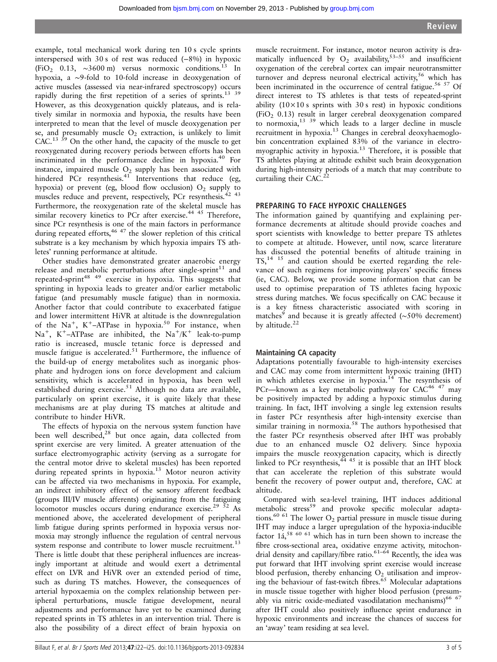example, total mechanical work during ten 10 s cycle sprints interspersed with 30 s of rest was reduced (−8%) in hypoxic (FiO<sub>2</sub> 0.13,  $\sim$ 3600 m) versus normoxic conditions.<sup>13</sup> In hypoxia, a ∼9-fold to 10-fold increase in deoxygenation of active muscles (assessed via near-infrared spectroscopy) occurs rapidly during the first repetition of a series of sprints.<sup>13 39</sup> However, as this deoxygenation quickly plateaus, and is relatively similar in normoxia and hypoxia, the results have been interpreted to mean that the level of muscle deoxygenation per se, and presumably muscle  $O<sub>2</sub>$  extraction, is unlikely to limit CAC.<sup>13 39</sup> On the other hand, the capacity of the muscle to get reoxygenated during recovery periods between efforts has been incriminated in the performance decline in hypoxia.<sup>40</sup> For instance, impaired muscle  $O_2$  supply has been associated with hindered PCr resynthesis. $41$  Interventions that reduce (eg, hypoxia) or prevent (eg, blood flow occlusion)  $O_2$  supply to muscles reduce and prevent, respectively, PCr resynthesis.42 43 Furthermore, the reoxygenation rate of the skeletal muscle has similar recovery kinetics to PCr after exercise.<sup>44 45</sup> Therefore, since PCr resynthesis is one of the main factors in performance during repeated efforts,  $4647$  the slower repletion of this critical substrate is a key mechanism by which hypoxia impairs TS athletes' running performance at altitude.

Other studies have demonstrated greater anaerobic energy release and metabolic perturbations after single-sprint<sup>11</sup> and repeated-sprint<sup>48 49</sup> exercise in hypoxia. This suggests that sprinting in hypoxia leads to greater and/or earlier metabolic fatigue (and presumably muscle fatigue) than in normoxia. Another factor that could contribute to exacerbated fatigue and lower intermittent HiVR at altitude is the downregulation of the  $Na^+$ ,  $K^+$ -ATPase in hypoxia.<sup>50</sup> For instance, when Na<sup>+</sup>, K<sup>+</sup>-ATPase are inhibited, the Na<sup>+</sup>/K<sup>+</sup> leak-to-pump ratio is increased, muscle tetanic force is depressed and muscle fatigue is accelerated.<sup>51</sup> Furthermore, the influence of the build-up of energy metabolites such as inorganic phosphate and hydrogen ions on force development and calcium sensitivity, which is accelerated in hypoxia, has been well established during exercise.<sup>51</sup> Although no data are available, particularly on sprint exercise, it is quite likely that these mechanisms are at play during TS matches at altitude and contribute to hinder HiVR.

The effects of hypoxia on the nervous system function have been well described,<sup>28</sup> but once again, data collected from sprint exercise are very limited. A greater attenuation of the surface electromyographic activity (serving as a surrogate for the central motor drive to skeletal muscles) has been reported during repeated sprints in hypoxia.<sup>13</sup> Motor neuron activity can be affected via two mechanisms in hypoxia. For example, an indirect inhibitory effect of the sensory afferent feedback (groups III/IV muscle afferents) originating from the fatiguing locomotor muscles occurs during endurance exercise.<sup>29</sup>  $\frac{52}{52}$  As mentioned above, the accelerated development of peripheral limb fatigue during sprints performed in hypoxia versus normoxia may strongly influence the regulation of central nervous system response and contribute to lower muscle recruitment.<sup>13</sup> There is little doubt that these peripheral influences are increasingly important at altitude and would exert a detrimental effect on LVR and HiVR over an extended period of time, such as during TS matches. However, the consequences of arterial hypoxaemia on the complex relationship between peripheral perturbations, muscle fatigue development, neural adjustments and performance have yet to be examined during repeated sprints in TS athletes in an intervention trial. There is also the possibility of a direct effect of brain hypoxia on

muscle recruitment. For instance, motor neuron activity is dramatically influenced by  $O_2$  availability,<sup>53–55</sup> and insufficient oxygenation of the cerebral cortex can impair neurotransmitter turnover and depress neuronal electrical activity,<sup>56</sup> which has been incriminated in the occurrence of central fatigue.<sup>56 57</sup> Of direct interest to TS athletes is that tests of repeated-sprint ability  $(10 \times 10 s)$  sprints with 30 s rest) in hypoxic conditions (FiO<sub>2</sub> 0.13) result in larger cerebral deoxygenation compared to normoxia,  $13 \frac{39}{9}$  which leads to a larger decline in muscle recruitment in hypoxia.<sup>13</sup> Changes in cerebral deoxyhaemoglobin concentration explained 83% of the variance in electromyographic activity in hypoxia.<sup>13</sup> Therefore, it is possible that TS athletes playing at altitude exhibit such brain deoxygenation during high-intensity periods of a match that may contribute to curtailing their CAC.<sup>2</sup>

# PREPARING TO FACE HYPOXIC CHALLENGES

The information gained by quantifying and explaining performance decrements at altitude should provide coaches and sport scientists with knowledge to better prepare TS athletes to compete at altitude. However, until now, scarce literature has discussed the potential benefits of altitude training in  $TS<sub>14</sub><sup>14</sup>$  15 and caution should be exerted regarding the relevance of such regimens for improving players' specific fitness (ie, CAC). Below, we provide some information that can be used to optimise preparation of TS athletes facing hypoxic stress during matches. We focus specifically on CAC because it is a key fitness characteristic associated with scoring in matches<sup>9</sup> and because it is greatly affected (∼50% decrement) by altitude.<sup>22</sup>

#### Maintaining CA capacity

Adaptations potentially favourable to high-intensity exercises and CAC may come from intermittent hypoxic training (IHT) in which athletes exercise in hypoxia.<sup>14</sup> The resynthesis of PCr—known as a key metabolic pathway for  $CAC<sup>46</sup>$  47 may be positively impacted by adding a hypoxic stimulus during training. In fact, IHT involving a single leg extension results in faster PCr resynthesis after high-intensity exercise than similar training in normoxia.<sup>58</sup> The authors hypothesised that the faster PCr resynthesis observed after IHT was probably due to an enhanced muscle O2 delivery. Since hypoxia impairs the muscle reoxygenation capacity, which is directly linked to PCr resynthesis,  $44$  45 it is possible that an IHT block that can accelerate the repletion of this substrate would benefit the recovery of power output and, therefore, CAC at altitude.

Compared with sea-level training, IHT induces additional metabolic stress<sup>59</sup> and provoke specific molecular adaptations.<sup>60 61</sup> The lower  $O_2$  partial pressure in muscle tissue during IHT may induce a larger upregulation of the hypoxia-inducible factor  $14,58,60,61$  which has in turn been shown to increase the fibre cross-sectional area, oxidative enzyme activity, mitochondrial density and capillary/fibre ratio.  $61-64$  Recently, the idea was put forward that IHT involving sprint exercise would increase blood perfusion, thereby enhancing  $O_2$  utilisation and improving the behaviour of fast-twitch fibres. $65$  Molecular adaptations in muscle tissue together with higher blood perfusion (presumably via nitric oxide-mediated vasodilatation mechanisms)<sup>66 67</sup> after IHT could also positively influence sprint endurance in hypoxic environments and increase the chances of success for an 'away' team residing at sea level.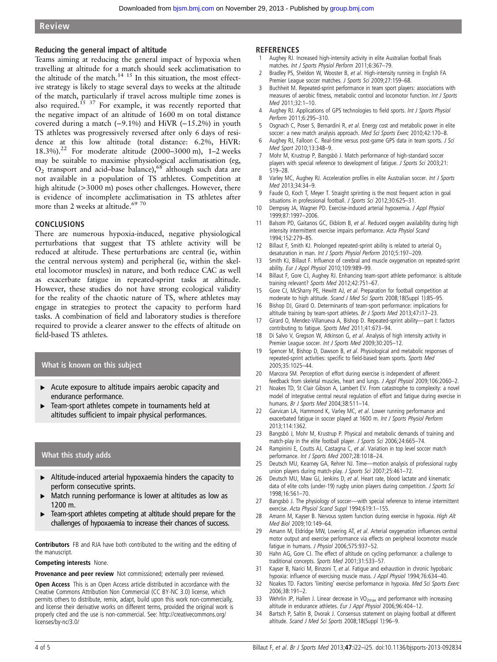#### Reducing the general impact of altitude

Teams aiming at reducing the general impact of hypoxia when travelling at altitude for a match should seek acclimatisation to the altitude of the match.<sup>14 15</sup> In this situation, the most effective strategy is likely to stage several days to weeks at the altitude of the match, particularly if travel across multiple time zones is also required.<sup>15 37</sup> For example, it was recently reported that the negative impact of an altitude of 1600 m on total distance covered during a match (−9.1%) and HiVR (−15.2%) in youth TS athletes was progressively reversed after only 6 days of residence at this low altitude (total distance: 6.2%, HiVR: 18.3%).<sup>22</sup> For moderate altitude (2000–3000 m), 1–2 weeks may be suitable to maximise physiological acclimatisation (eg,  $O<sub>2</sub>$  transport and acid–base balance),<sup>68</sup> although such data are not available in a population of TS athletes. Competition at high altitude (>3000 m) poses other challenges. However, there is evidence of incomplete acclimatisation in TS athletes after more than 2 weeks at altitude.<sup>69</sup> 70

#### CONCLUSIONS

There are numerous hypoxia-induced, negative physiological perturbations that suggest that TS athlete activity will be reduced at altitude. These perturbations are central (ie, within the central nervous system) and peripheral (ie, within the skeletal locomotor muscles) in nature, and both reduce CAC as well as exacerbate fatigue in repeated-sprint tasks at altitude. However, these studies do not have strong ecological validity for the reality of the chaotic nature of TS, where athletes may engage in strategies to protect the capacity to perform hard tasks. A combination of field and laboratory studies is therefore required to provide a clearer answer to the effects of altitude on field-based TS athletes.

## What is known on this subject

- ▶ Acute exposure to altitude impairs aerobic capacity and endurance performance.
- ▸ Team-sport athletes compete in tournaments held at altitudes sufficient to impair physical performances.

# What this study adds

- ▸ Altitude-induced arterial hypoxaemia hinders the capacity to perform consecutive sprints.
- ▸ Match running performance is lower at altitudes as low as 1200 m.
- ▸ Team-sport athletes competing at altitude should prepare for the challenges of hypoxaemia to increase their chances of success.

Contributors FB and RJA have both contributed to the writing and the editing of the manuscript.

#### Competing interests None.

Provenance and peer review Not commissioned; externally peer reviewed.

Open Access This is an Open Access article distributed in accordance with the Creative Commons Attribution Non Commercial (CC BY-NC 3.0) license, which permits others to distribute, remix, adapt, build upon this work non-commercially, and license their derivative works on different terms, provided the original work is properly cited and the use is non-commercial. See: [http://creativecommons.org/](http://creativecommons.org/licenses/by-nc/3.0/) [licenses/by-nc/3.0/](http://creativecommons.org/licenses/by-nc/3.0/)

#### **REFERENCES**

- 1 Aughey RJ. Increased high-intensity activity in elite Australian football finals matches. Int J Sports Physiol Perform 2011;6:367–79.
- Bradley PS, Sheldon W, Wooster B, et al. High-intensity running in English FA Premier League soccer matches. J Sports Sci 2009;27:159-68.
- 3 Buchheit M. Repeated-sprint performance in team sport players: associations with measures of aerobic fitness, metabolic control and locomotor function. Int J Sports Med 2011;32:1–10.
- 4 Aughey RJ. Applications of GPS technologies to field sports. Int J Sports Physiol Perform 2011;6:295–310.
- Osgnach C, Poser S, Bernardini R, et al. Energy cost and metabolic power in elite soccer: a new match analysis approach. Med Sci Sports Exerc 2010;42:170-8.
- 6 Aughey RJ, Falloon C. Real-time versus post-game GPS data in team sports. J Sci Med Sport 2010;13:348–9.
- 7 Mohr M, Krustrup P, Bangsbö J. Match performance of high-standard soccer players with special reference to development of fatique. J Sports Sci 2003;21: 519–28.
- 8 Varley MC, Aughey RJ. Acceleration profiles in elite Australian soccer. Int J Sports Med 2013;34:34–9.
- 9 Faude O, Koch T, Meyer T. Straight sprinting is the most frequent action in goal situations in professional football. J Sports Sci 2012;30:625–31.
- 10 Dempsey JA, Wagner PD. Exercise-induced arterial hypoxemia. J Appl Physiol 1999;87:1997–2006.
- 11 Balsom PD, Gaitanos GC, Ekblom B, et al. Reduced oxygen availability during high intensity intermittent exercise impairs performance. Acta Physiol Scand 1994;152:279–85.
- 12 Billaut F, Smith KJ. Prolonged repeated-sprint ability is related to arterial O<sub>2</sub> desaturation in man. Int J Sports Physiol Perform 2010;5:197–209.
- 13 Smith KJ, Billaut F. Influence of cerebral and muscle oxygenation on repeated-sprint ability. Eur J Appl Physiol 2010;109:989-99.
- 14 Billaut F, Gore CJ, Aughey RJ. Enhancing team-sport athlete performance: is altitude training relevant? Sports Med 2012;42:751–67.
- 15 Gore CJ, McSharry PE, Hewitt AJ, et al. Preparation for football competition at moderate to high altitude. Scand J Med Sci Sports 2008;18(Suppl 1):85-95.
- 16 Bishop DJ, Girard O. Determinants of team-sport performance: implications for altitude training by team-sport athletes. Br J Sports Med 2013;47:i17–23.
- 17 Girard O, Mendez-Villanueva A, Bishop D. Repeated-sprint ability—part I: factors contributing to fatigue. Sports Med 2011;41:673–94.
- 18 Di Salvo V, Gregson W, Atkinson G, et al. Analysis of high intensity activity in Premier League soccer. Int J Sports Med 2009;30:205-12.
- 19 Spencer M, Bishop D, Dawson B, et al. Physiological and metabolic responses of repeated-sprint activities: specific to field-based team sports. Sports Med 2005;35:1025–44.
- 20 Marcora SM. Perception of effort during exercise is independent of afferent feedback from skeletal muscles, heart and lungs. J Appl Physiol 2009;106:2060–2.
- 21 Noakes TD, St Clair Gibson A, Lambert EV. From catastrophe to complexity: a novel model of integrative central neural regulation of effort and fatigue during exercise in humans. Br J Sports Med 2004;38:511–14.
- 22 Garvican LA, Hammond K, Varley MC, et al. Lower running performance and exacerbated fatigue in soccer played at 1600 m. Int J Sports Physiol Perform 2013;114:1362.
- 23 Bangsbö J, Mohr M, Krustrup P. Physical and metabolic demands of training and match-play in the elite football player. J Sports Sci 2006;24:665-74.
- 24 Rampinini E, Coutts AJ, Castagna C, et al. Variation in top level soccer match performance. Int J Sports Med 2007;28:1018–24.
- 25 Deutsch MU, Kearney GA, Rehrer NJ. Time—motion analysis of professional rugby union players during match-play. J Sports Sci 2007;25:461-72.
- 26 Deutsch MU, Maw GJ, Jenkins D, et al. Heart rate, blood lactate and kinematic data of elite colts (under-19) rugby union players during competition. J Sports Sci 1998;16:561–70.
- 27 Bangsbö J. The physiology of soccer-- with special reference to intense intermittent exercise. Acta Physiol Scand Suppl 1994;619:1–155.
- 28 Amann M, Kayser B. Nervous system function during exercise in hypoxia. High Alt Med Biol 2009;10:149–64.
- 29 Amann M, Eldridge MW, Lovering AT, et al. Arterial oxygenation influences central motor output and exercise performance via effects on peripheral locomotor muscle fatigue in humans. J Physiol 2006;575:937–52.
- 30 Hahn AG, Gore CJ. The effect of altitude on cycling performance: a challenge to traditional concepts. Sports Med 2001;31:533–57.
- 31 Kayser B, Narici M, Binzoni T, et al. Fatigue and exhaustion in chronic hypobaric hypoxia: influence of exercising muscle mass. J Appl Physiol 1994;76:634–40.
- 32 Noakes TD. Factors 'limiting' exercise performance in hypoxia. Med Sci Sports Exerc 2006;38:191–2.
- 33 Wehrlin JP, Hallen J. Linear decrease in  $VO_{2max}$  and performance with increasing altitude in endurance athletes. Eur J Appl Physiol 2006;96:404–12.
- 34 Bartsch P, Saltin B, Dvorak J. Consensus statement on playing football at different altitude. Scand J Med Sci Sports 2008;18(Suppl 1):96–9.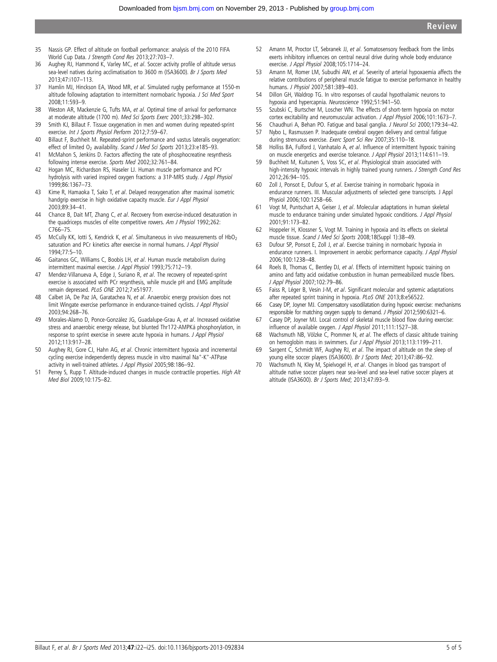- 35 Nassis GP. Effect of altitude on football performance: analysis of the 2010 FIFA World Cup Data. J Strength Cond Res 2013;27:703–7.
- 36 Aughey RJ, Hammond K, Varley MC, et al. Soccer activity profile of altitude versus sea-level natives during acclimatisation to 3600 m (ISA3600). Br J Sports Med 2013;47:i107–113.
- 37 Hamlin MJ, Hinckson EA, Wood MR, et al. Simulated rugby performance at 1550-m altitude following adaptation to intermittent normobaric hypoxia. J Sci Med Sport 2008;11:593–9.
- 38 Weston AR, Mackenzie G, Tufts MA, et al. Optimal time of arrival for performance at moderate altitude (1700 m). Med Sci Sports Exerc 2001;33:298–302.
- 39 Smith KJ, Billaut F. Tissue oxygenation in men and women during repeated-sprint exercise. Int J Sports Physiol Perform 2012;7:59–67.
- 40 Billaut F, Buchheit M. Repeated-sprint performance and vastus lateralis oxygenation: effect of limited O<sub>2</sub> availability. Scand J Med Sci Sports 2013;23:e185-93.
- 41 McMahon S, Jenkins D. Factors affecting the rate of phosphocreatine resynthesis following intense exercise. Sports Med 2002;32:761–84.
- 42 Hogan MC, Richardson RS, Haseler LJ. Human muscle performance and PCr hydrolysis with varied inspired oxygen fractions: a 31P-MRS study. J Appl Physiol 1999;86:1367–73.
- 43 Kime R, Hamaoka T, Sako T, et al. Delayed reoxygenation after maximal isometric handgrip exercise in high oxidative capacity muscle. Eur J Appl Physiol 2003;89:34–41.
- 44 Chance B, Dait MT, Zhang C, et al. Recovery from exercise-induced desaturation in the quadriceps muscles of elite competitive rowers. Am J Physiol 1992;262: C766–75.
- 45 McCully KK, lotti S, Kendrick K, et al. Simultaneous in vivo measurements of HbO<sub>2</sub> saturation and PCr kinetics after exercise in normal humans. J Appl Physiol 1994;77:5–10.
- 46 Gaitanos GC, Williams C, Boobis LH, et al. Human muscle metabolism during intermittent maximal exercise. J Appl Physiol 1993;75:712–19.
- 47 Mendez-Villanueva A, Edge J, Suriano R, et al. The recovery of repeated-sprint exercise is associated with PCr resynthesis, while muscle pH and EMG amplitude remain depressed. PLoS ONE 2012;7:e51977.
- 48 Calbet JA, De Paz JA, Garatachea N, et al. Anaerobic energy provision does not limit Wingate exercise performance in endurance-trained cyclists. J Appl Physiol 2003;94:268–76.
- 49 Morales-Alamo D, Ponce-González JG, Guadalupe-Grau A, et al. Increased oxidative stress and anaerobic energy release, but blunted Thr172-AMPKá phosphorylation, in response to sprint exercise in severe acute hypoxia in humans. J Appl Physiol 2012;113:917–28.
- 50 Aughey RJ, Gore CJ, Hahn AG, et al. Chronic intermittent hypoxia and incremental cycling exercise independently depress muscle in vitro maximal Na<sup>+</sup>-K<sup>+</sup>-ATPase activity in well-trained athletes. J Appl Physiol 2005;98:186–92.
- 51 Perrey S, Rupp T. Altitude-induced changes in muscle contractile properties. High Alt Med Biol 2009;10:175–82.
- 52 Amann M, Proctor LT, Sebranek JJ, et al. Somatosensory feedback from the limbs exerts inhibitory influences on central neural drive during whole body endurance exercise. J Appl Physiol 2008;105:1714–24.
- 53 Amann M, Romer LM, Subudhi AW, et al. Severity of arterial hypoxaemia affects the relative contributions of peripheral muscle fatigue to exercise performance in healthy humans. J Physiol 2007;581:389–403.
- 54 Dillon GH, Waldrop TG. In vitro responses of caudal hypothalamic neurons to hypoxia and hypercapnia. Neuroscience 1992;51:941–50.
- 55 Szubski C, Burtscher M, Loscher WN. The effects of short-term hypoxia on motor cortex excitability and neuromuscular activation. J Appl Physiol 2006;101:1673–7.
- 56 Chaudhuri A, Behan PO. Fatigue and basal ganglia. J Neurol Sci 2000;179:34–42. 57 Nybo L, Rasmussen P. Inadequate cerebral oxygen delivery and central fatigue
- during strenuous exercise. Exerc Sport Sci Rev 2007;35:110–18.
- 58 Holliss BA, Fulford J, Vanhatalo A, et al. Influence of intermittent hypoxic training on muscle energetics and exercise tolerance. J Appl Physiol 2013;114:611-19.
- 59 Buchheit M, Kuitunen S, Voss SC, et al. Physiological strain associated with high-intensity hypoxic intervals in highly trained young runners. J Strength Cond Res 2012;26:94–105.
- 60 Zoll J, Ponsot E, Dufour S, et al. Exercise training in normobaric hypoxia in endurance runners. III. Muscular adjustments of selected gene transcripts. J Appl Physiol 2006;100:1258–66.
- 61 Vogt M, Puntschart A, Geiser J, et al. Molecular adaptations in human skeletal muscle to endurance training under simulated hypoxic conditions. J Appl Physiol 2001;91:173–82.
- 62 Hoppeler H, Klossner S, Vogt M. Training in hypoxia and its effects on skeletal muscle tissue. Scand J Med Sci Sports 2008;18(Suppl 1):38–49.
- 63 Dufour SP, Ponsot E, Zoll J, et al. Exercise training in normobaric hypoxia in endurance runners. I. Improvement in aerobic performance capacity. J Appl Physiol 2006;100:1238–48.
- 64 Roels B, Thomas C, Bentley DJ, et al. Effects of intermittent hypoxic training on amino and fatty acid oxidative combustion in human permeabilized muscle fibers. J Appl Physiol 2007;102:79–86.
- 65 Faiss R, Léger B, Vesin J-M, et al. Significant molecular and systemic adaptations after repeated sprint training in hypoxia. PLoS ONE 2013;8:e56522.
- 66 Casey DP, Joyner MJ. Compensatory vasodilatation during hypoxic exercise: mechanisms responsible for matching oxygen supply to demand. J Physiol 2012;590:6321–6.
- 67 Casey DP, Joyner MJ. Local control of skeletal muscle blood flow during exercise: influence of available oxygen. J Appl Physiol 2011;111:1527–38.
- 68 Wachsmuth NB, Völzke C, Prommer N, et al. The effects of classic altitude training on hemoglobin mass in swimmers. Eur J Appl Physiol 2013;113:1199–211.
- 69 Sargent C, Schmidt WF, Aughey RJ, et al. The impact of altitude on the sleep of young elite soccer players (ISA3600). Br J Sports Med; 2013;47:i86-92.
- 70 Wachsmuth N, Kley M, Spielvogel H, et al. Changes in blood gas transport of altitude native soccer players near sea-level and sea-level native soccer players at altitude (ISA3600). Br J Sports Med; 2013;47:i93–9.